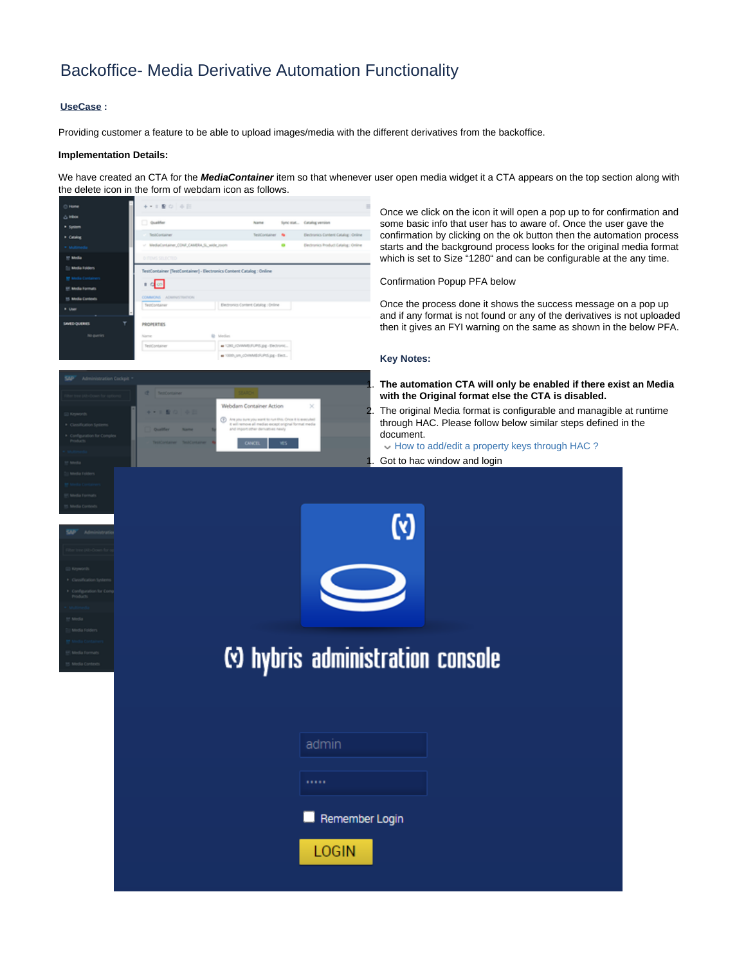## Backoffice- Media Derivative Automation Functionality

## **UseCase :**

Providing customer a feature to be able to upload images/media with the different derivatives from the backoffice.

## **Implementation Details:**

We have created an CTA for the **MediaContainer** item so that whenever user open media widget it a CTA appears on the top section along with the delete icon in the form of webdam icon as follows.